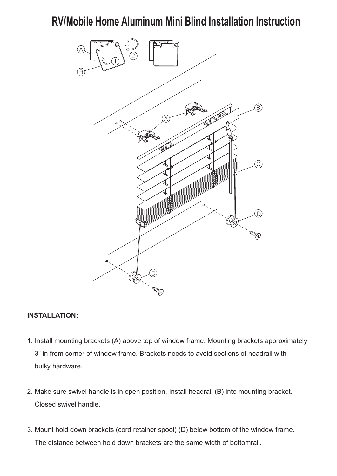# **RV/Mobile Home Aluminum Mini Blind Installation Instruction**



#### **INSTALLATION:**

- 1. Install mounting brackets (A) above top of window frame. Mounting brackets approximately 3" in from corner of window frame. Brackets needs to avoid sections of headrail with bulky hardware.
- 2. Make sure swivel handle is in open position. Install headrail (B) into mounting bracket. Closed swivel handle.
- 3. Mount hold down brackets (cord retainer spool) (D) below bottom of the window frame. The distance between hold down brackets are the same width of bottomrail.